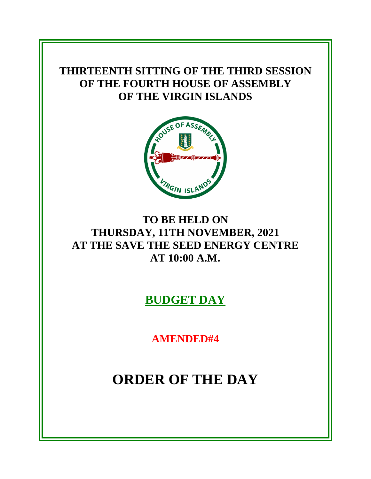# **THIRTEENTH SITTING OF THE THIRD SESSION OF THE FOURTH HOUSE OF ASSEMBLY OF THE VIRGIN ISLANDS**



# **TO BE HELD ON THURSDAY, 11TH NOVEMBER, 2021 AT THE SAVE THE SEED ENERGY CENTRE AT 10:00 A.M.**

**BUDGET DAY** 

**AMENDED#4**

**ORDER OF THE DAY**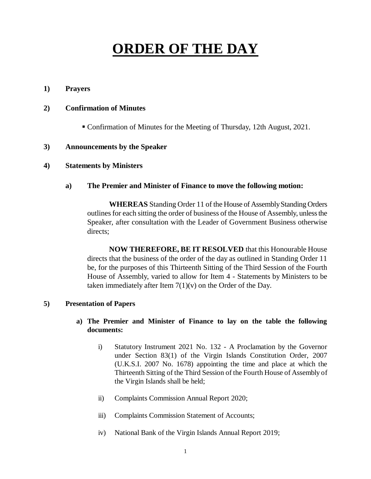# **ORDER OF THE DAY**

#### **1) Prayers**

#### **2) Confirmation of Minutes**

Confirmation of Minutes for the Meeting of Thursday, 12th August, 2021.

#### **3) Announcements by the Speaker**

#### **4) Statements by Ministers**

#### **a) The Premier and Minister of Finance to move the following motion:**

**WHEREAS** Standing Order 11 of the House of Assembly Standing Orders outlines for each sitting the order of business of the House of Assembly, unless the Speaker, after consultation with the Leader of Government Business otherwise directs:

**NOW THEREFORE, BE IT RESOLVED** that this Honourable House directs that the business of the order of the day as outlined in Standing Order 11 be, for the purposes of this Thirteenth Sitting of the Third Session of the Fourth House of Assembly, varied to allow for Item 4 - Statements by Ministers to be taken immediately after Item  $7(1)(v)$  on the Order of the Day.

#### **5) Presentation of Papers**

## **a) The Premier and Minister of Finance to lay on the table the following documents:**

- i) Statutory Instrument 2021 No. 132 A Proclamation by the Governor under Section 83(1) of the Virgin Islands Constitution Order, 2007 (U.K.S.I. 2007 No. 1678) appointing the time and place at which the Thirteenth Sitting of the Third Session of the Fourth House of Assembly of the Virgin Islands shall be held;
- ii) Complaints Commission Annual Report 2020;
- iii) Complaints Commission Statement of Accounts;
- iv) National Bank of the Virgin Islands Annual Report 2019;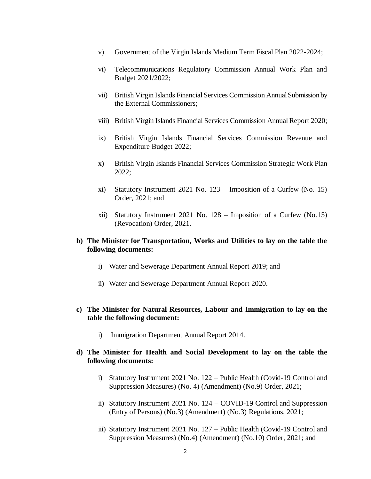- v) Government of the Virgin Islands Medium Term Fiscal Plan 2022-2024;
- vi) Telecommunications Regulatory Commission Annual Work Plan and Budget 2021/2022;
- vii) British Virgin Islands Financial Services Commission Annual Submission by the External Commissioners;
- viii) British Virgin Islands Financial Services Commission Annual Report 2020;
- ix) British Virgin Islands Financial Services Commission Revenue and Expenditure Budget 2022;
- x) British Virgin Islands Financial Services Commission Strategic Work Plan 2022;
- xi) Statutory Instrument 2021 No. 123 Imposition of a Curfew (No. 15) Order, 2021; and
- xii) Statutory Instrument 2021 No. 128 Imposition of a Curfew (No.15) (Revocation) Order, 2021.

## **b) The Minister for Transportation, Works and Utilities to lay on the table the following documents:**

- i) Water and Sewerage Department Annual Report 2019; and
- ii) Water and Sewerage Department Annual Report 2020.

#### **c) The Minister for Natural Resources, Labour and Immigration to lay on the table the following document:**

i) Immigration Department Annual Report 2014.

#### **d) The Minister for Health and Social Development to lay on the table the following documents:**

- i) Statutory Instrument 2021 No. 122 Public Health (Covid-19 Control and Suppression Measures) (No. 4) (Amendment) (No.9) Order, 2021;
- ii) Statutory Instrument 2021 No. 124 COVID-19 Control and Suppression (Entry of Persons) (No.3) (Amendment) (No.3) Regulations, 2021;
- iii) Statutory Instrument 2021 No. 127 Public Health (Covid-19 Control and Suppression Measures) (No.4) (Amendment) (No.10) Order, 2021; and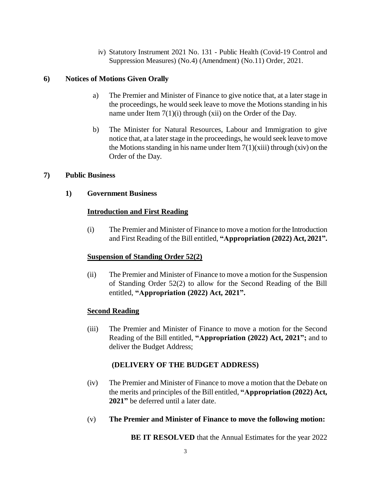iv) Statutory Instrument 2021 No. 131 - Public Health (Covid-19 Control and Suppression Measures) (No.4) (Amendment) (No.11) Order, 2021.

# **6) Notices of Motions Given Orally**

- a) The Premier and Minister of Finance to give notice that, at a later stage in the proceedings, he would seek leave to move the Motions standing in his name under Item 7(1)(i) through (xii) on the Order of the Day.
- b) The Minister for Natural Resources, Labour and Immigration to give notice that, at a later stage in the proceedings, he would seek leave to move the Motions standing in his name under Item  $7(1)(xiii)$  through  $(xiv)$  on the Order of the Day.

## **7) Public Business**

**1) Government Business**

# **Introduction and First Reading**

(i) The Premier and Minister of Finance to move a motion for the Introduction and First Reading of the Bill entitled, **"Appropriation (2022) Act, 2021".**

# **Suspension of Standing Order 52(2)**

(ii) The Premier and Minister of Finance to move a motion for the Suspension of Standing Order 52(2) to allow for the Second Reading of the Bill entitled, **"Appropriation (2022) Act, 2021".**

## **Second Reading**

(iii) The Premier and Minister of Finance to move a motion for the Second Reading of the Bill entitled, **"Appropriation (2022) Act, 2021";** and to deliver the Budget Address;

# **(DELIVERY OF THE BUDGET ADDRESS)**

- (iv) The Premier and Minister of Finance to move a motion that the Debate on the merits and principles of the Bill entitled, **"Appropriation (2022) Act, 2021"** be deferred until a later date.
- (v) **The Premier and Minister of Finance to move the following motion:**

**BE IT RESOLVED** that the Annual Estimates for the year 2022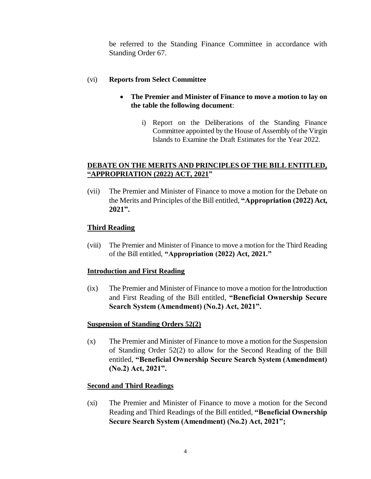be referred to the Standing Finance Committee in accordance with Standing Order 67.

## (vi) **Reports from Select Committee**

- **The Premier and Minister of Finance to move a motion to lay on the table the following document**:
	- i) Report on the Deliberations of the Standing Finance Committee appointed by the House of Assembly of the Virgin Islands to Examine the Draft Estimates for the Year 2022.

# **DEBATE ON THE MERITS AND PRINCIPLES OF THE BILL ENTITLED, "APPROPRIATION (2022) ACT, 2021"**

(vii) The Premier and Minister of Finance to move a motion for the Debate on the Merits and Principles of the Bill entitled, **"Appropriation (2022) Act, 2021".**

# **Third Reading**

(viii) The Premier and Minister of Finance to move a motion for the Third Reading of the Bill entitled, **"Appropriation (2022) Act, 2021."**

## **Introduction and First Reading**

(ix) The Premier and Minister of Finance to move a motion for the Introduction and First Reading of the Bill entitled, **"Beneficial Ownership Secure Search System (Amendment) (No.2) Act, 2021".** 

## **Suspension of Standing Orders 52(2)**

(x) The Premier and Minister of Finance to move a motion for the Suspension of Standing Order 52(2) to allow for the Second Reading of the Bill entitled, **"Beneficial Ownership Secure Search System (Amendment) (No.2) Act, 2021".**

## **Second and Third Readings**

(xi) The Premier and Minister of Finance to move a motion for the Second Reading and Third Readings of the Bill entitled, **"Beneficial Ownership Secure Search System (Amendment) (No.2) Act, 2021";**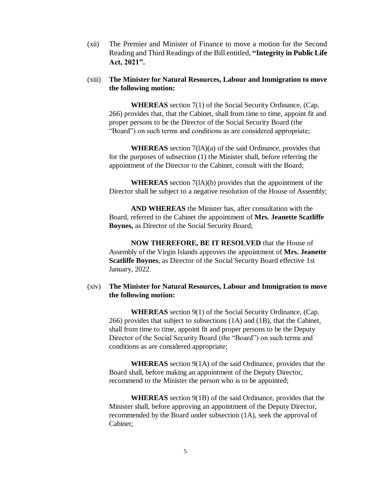(xii) The Premier and Minister of Finance to move a motion for the Second Reading and Third Readings of the Bill entitled, **"Integrity in Public Life Act, 2021".**

#### (xiii) **The Minister for Natural Resources, Labour and Immigration to move the following motion:**

**WHEREAS** section 7(1) of the Social Security Ordinance, (Cap. 266) provides that, that the Cabinet, shall from time to time, appoint fit and proper persons to be the Director of the Social Security Board (the "Board") on such terms and conditions as are considered appropriate;

**WHEREAS** section 7(lA)(a) of the said Ordinance, provides that for the purposes of subsection (1) the Minister shall, before referring the appointment of the Director to the Cabinet, consult with the Board;

**WHEREAS** section 7(lA)(b) provides that the appointment of the Director shall be subject to a negative resolution of the House of Assembly;

**AND WHEREAS** the Minister has, after consultation with the Board, referred to the Cabinet the appointment of **Mrs. Jeanette Scatliffe Boynes,** as Director of the Social Security Board;

**NOW THEREFORE, BE IT RESOLVED** that the House of Assembly of the Virgin Islands approves the appointment of **Mrs. Jeanette Scatliffe Boynes**, as Director of the Social Security Board effective 1st January, 2022.

#### (xiv) **The Minister for Natural Resources, Labour and Immigration to move the following motion:**

**WHEREAS** section 9(1) of the Social Security Ordinance, (Cap. 266) provides that subject to subsections (1A) and (1B), that the Cabinet, shall from time to time, appoint fit and proper persons to be the Deputy Director of the Social Security Board (the "Board") on such terms and conditions as are considered appropriate;

**WHEREAS** section 9(1A) of the said Ordinance, provides that the Board shall, before making an appointment of the Deputy Director, recommend to the Minister the person who is to be appointed;

**WHEREAS** section 9(1B) of the said Ordinance, provides that the Minister shall, before approving an appointment of the Deputy Director, recommended by the Board under subsection (1A), seek the approval of Cabinet;